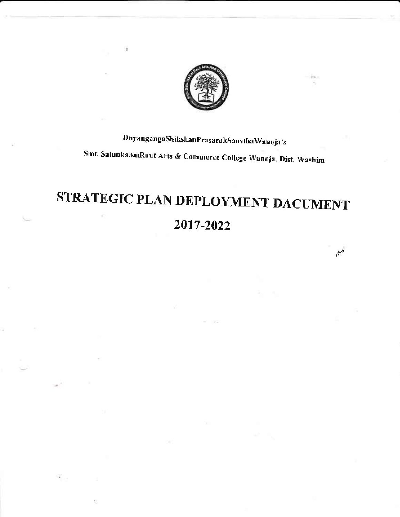

¥

## DnyangangaShikshanPrasarakSansthaWanoja's Smt. SalunkabaiRaut Arts & Commerce College Wanoja, Dist. Washim

## STRATEGIC PLAN DEPLOYMENT DACUMENT 2017-2022

 $\mathcal{P}^A$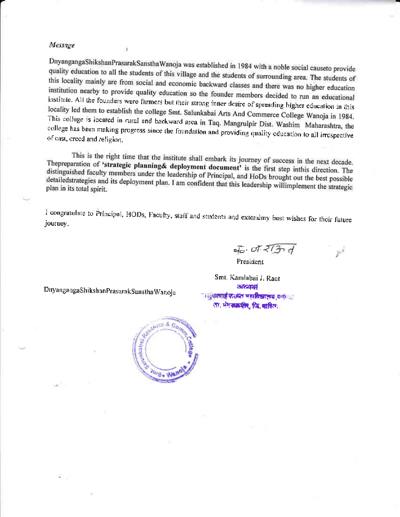#### Message

DnyangangaShikshanPrasarakSansthaWanoja was established in 1984 with a noble social causeto provide quality education to all the students of this village and the students of surrounding area. The students of this locality mainly are from social and economic backward classes and there was no higher education institution nearby to provide quality education so the founder members decided to run an educational institute. All the founders were farmers but their strong inner desire of spreading higher education in this locality led them to establish the college Smt. Salunkabai Arts And Commerce College Wanoja in 1984. This college is located in rural and backward area in Taq. Mangrulpir Dist. Washim Maharashtra, the college has been making progress since the foundation and providing quality education to all irrespective of cast, creed and religion.

This is the right time that the institute shall embark its journey of success in the next decade. Thepreparation of 'strategic planning& deployment document' is the first step inthis direction. The distinguished faculty members under the leadership of Principal, and HoDs brought out the best possible detailedstrategies and its deployment plan. I am confident that this leadership willimplement the strategic plan in its total spirit.

I congratulate to Principal, HODs, Faculty, staff and students and extendmy best wishes for their future journey.

 $5.$  of  $27 - 4$ President

 $\mu^{\rm eff}$ 

Smt. Kamlabai J. Raut **STEDEN** । दक्षीपार्ष प्रस्तुत पहाविद्यालय करें। ता, भंगकड़पीर, जि. मारित्य.

DnyangangaShikshanPrasarakSansthaWanoja

¥

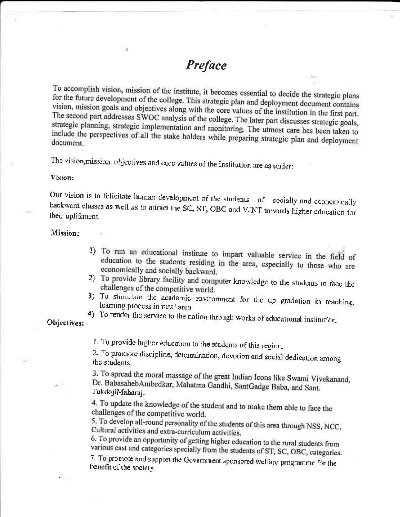### Preface

in a

To accomplish vision, mission of the institute, it becomes essential to decide the strategic plans for the future development of the college. This strategic plan and deployment document contains vision, mission goals and objectives along with the core values of the institution in the first part. The second part addresses SWOC analysis of the college. The later part discusses strategic goals, strategic planning, strategic implementation and monitoring. The utmost care has been taken to include the perspectives of all the stake holders while preparing strategic plan and deployment document.

The vision, mission, objectives and core values of the institution are as under:

ĭg.

#### Vision:

Our vision is to felicitate human development of the students of socially and economically backward classes as well as to attract the SC, ST, OBC and VJNT towards higher education for their upliftment.

#### Mission:

- 1) To run an educational institute to impart valuable service in the field of education to the students residing in the area, especially to those who are economically and socially backward.
- 2) To provide library facility and computer knowledge to the students to face the challenges of the competitive world.
- 3) To stimulate the academic environment for the up gradation in teaching, learning process in rural area.
- 4) To render the service to the nation through works of educational institution.

Objectives:

1. To provide higher education to the students of this region.

2. To promote discipline, determination, devotion and social dedication among the students.

3. To spread the moral massage of the great Indian Icons like Swami Vivekanand, Dr. BabasahebAmbedkar, Mahatma Gandhi, SantGadge Baba, and Sant. TukdojiMaharaj.

4. To update the knowledge of the student and to make them able to face the challenges of the competitive world.

5. To develop all-round personality of the students of this area through NSS, NCC, Cultural activities and extra-curriculum activities.

6. To provide an opportunity of getting higher education to the rural students from various cast and categories specially from the students of ST, SC, OBC, categories.

7. To promote and support the Government sponsored welfare programme for the benefit of the society.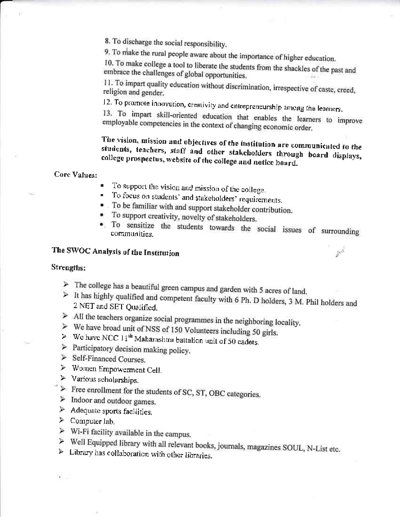8. To discharge the social responsibility.

9. To make the rural people aware about the importance of higher education.

10. To make college a tool to liberate the students from the shackles of the past and embrace the challenges of global opportunities.

11. To impart quality education without discrimination, irrespective of caste, creed, religion and gender.

12. To promote innovation, creativity and entrepreneurship among the learners.

13. To impart skill-oriented education that enables the learners to improve employable competencies in the context of changing economic order.

The vision, mission and objectives of the institution are communicated to the students, teachers, staff and other stakeholders through board displays, college prospectus, website of the college and notice board.

Core Values:

- To support the vision and mission of the college.  $\bullet$
- To focus on students' and stakeholders' requirements.
- To be familiar with and support stakeholder contribution.
- To support creativity, novelty of stakeholders.
- . To sensitize the students towards the social issues of surrounding communities.

 $h^{\bar{\beta}}$ 

### The SWOC Analysis of the Institution

#### Strengths:

- $\triangleright$  The college has a beautiful green campus and garden with 5 acres of land.
- $>$  It has highly qualified and competent faculty with 6 Ph. D holders, 3 M. Phil holders and 2 NET and SET Qualified.
- $\triangleright$  All the teachers organize social programmes in the neighboring locality.
- $\triangleright$  We have broad unit of NSS of 150 Volunteers including 50 girls.
- > We have NCC  $11<sup>th</sup>$  Maharashtra battalion unit of 50 cadets.
- $\triangleright$  Participatory decision making policy.
- $\triangleright$  Self-Financed Courses.
- > Women Empowerment Cell.
- $\triangleright$  Various scholarships.
- $\triangleright$  Free enrollment for the students of SC, ST, OBC categories.
- > Indoor and outdoor games.
- $\triangleright$  Adequate sports facilities.
- $\triangleright$  Computer lab.

 $\mathcal{L}_{\rm{out}}$ 

- $\triangleright$  Wi-Fi facility available in the campus.
- > Well Equipped library with all relevant books, journals, magazines SOUL, N-List etc.
- $\triangleright$  Library has collaboration with other libraries.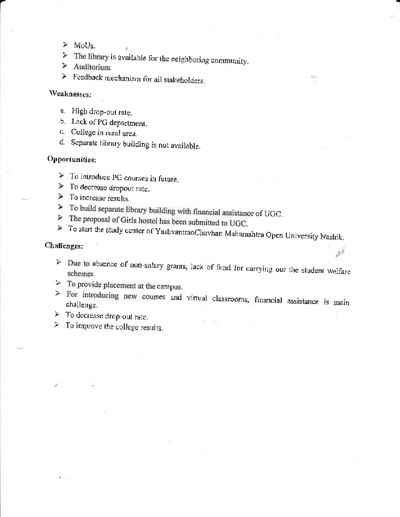- $>$  MoUs.
- $\triangleright$  The library is available for the neighboring community.
- $>$  Auditorium.
- $\geq$  Feedback mechanism for all stakeholders.

#### Weaknesses:

- a. High drop-out rate.
- b. Lack of PG department.
- c. College in rural area.
- d. Separate library building is not available.

#### Opportunities:

- $\triangleright$  To introduce PG courses in future.
- $\triangleright$  To decrease dropout rate.
- $\triangleright$  To increase results.
- > To build separate library building with financial assistance of UGC.
- $\triangleright$  The proposal of Girls hostel has been submitted to UGC.
- > To start the study center of YashvantraoChavhan Maharashtra Open University Nashik.

#### Challenges:

> Due to absence of non-salary grants, lack of fund for carrying out the student welfare

free

- $\geq$  To provide placement at the campus.
- > For introducing new courses and virtual classrooms, financial assistance is main challenge.
- $\triangleright$  To decrease drop-out rate.
- $\triangleright$  To improve the college results.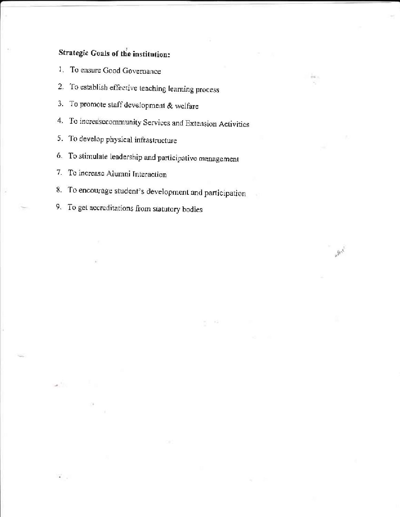### Strategic Goals of the institution:

- 1. To ensure Good Governance
- 2. To establish effective teaching learning process
- 3. To promote staff development & welfare
- 4. To increasecommunity Services and Extension Activities
- 5. To develop physical infrastructure
- 6. To stimulate leadership and participative management
- 7. To increase Alumni Interaction
- 8. To encourage student's development and participation

 $\mathscr{P}^4$ 

9. To get accreditations from statutory bodies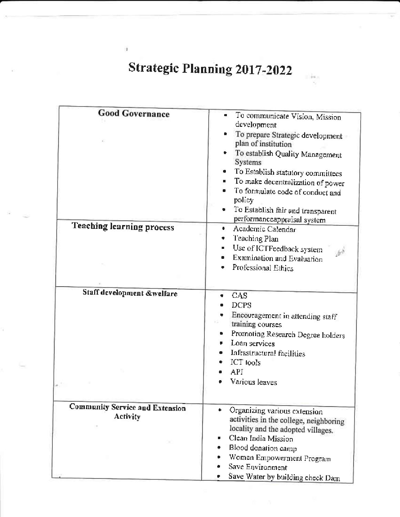## Strategic Planning 2017-2022

 $\,$ 

| <b>Good Governance</b>                 |                                                                                                                                                                                                                                                                                                                                                    |
|----------------------------------------|----------------------------------------------------------------------------------------------------------------------------------------------------------------------------------------------------------------------------------------------------------------------------------------------------------------------------------------------------|
|                                        | To communicate Vision, Mission<br>development<br>To prepare Strategic development<br>plan of institution<br>To establish Quality Management<br>Systems<br>To Establish statutory committees<br>To make decentralization of power<br>To formulate code of conduct and<br>policy<br>To Establish fair and transparent<br>performanceappraisal system |
| <b>Teaching learning process</b>       | Academic Calendar<br>٠                                                                                                                                                                                                                                                                                                                             |
|                                        | Teaching Plan                                                                                                                                                                                                                                                                                                                                      |
|                                        | Use of ICTFeedback system<br>٠                                                                                                                                                                                                                                                                                                                     |
|                                        | Examination and Evaluation                                                                                                                                                                                                                                                                                                                         |
|                                        | Professional Ethics                                                                                                                                                                                                                                                                                                                                |
|                                        |                                                                                                                                                                                                                                                                                                                                                    |
|                                        |                                                                                                                                                                                                                                                                                                                                                    |
| Staff development &welfare             | CAS                                                                                                                                                                                                                                                                                                                                                |
|                                        | <b>DCPS</b>                                                                                                                                                                                                                                                                                                                                        |
|                                        | Encouragement in attending staff                                                                                                                                                                                                                                                                                                                   |
|                                        | training courses                                                                                                                                                                                                                                                                                                                                   |
|                                        | Promoting Research Degree holders                                                                                                                                                                                                                                                                                                                  |
|                                        | Loan services                                                                                                                                                                                                                                                                                                                                      |
|                                        | Infrastructural facilities                                                                                                                                                                                                                                                                                                                         |
|                                        | <b>ICT</b> tools                                                                                                                                                                                                                                                                                                                                   |
|                                        | API                                                                                                                                                                                                                                                                                                                                                |
|                                        | Various leaves                                                                                                                                                                                                                                                                                                                                     |
|                                        |                                                                                                                                                                                                                                                                                                                                                    |
|                                        |                                                                                                                                                                                                                                                                                                                                                    |
| <b>Community Service and Extension</b> | Organizing various extension                                                                                                                                                                                                                                                                                                                       |
| Activity                               | activities in the college, neighboring                                                                                                                                                                                                                                                                                                             |
|                                        | locality and the adopted villages.                                                                                                                                                                                                                                                                                                                 |
|                                        | Clean India Mission                                                                                                                                                                                                                                                                                                                                |
|                                        | Blood donation camp                                                                                                                                                                                                                                                                                                                                |
|                                        | Women Empowerment Program                                                                                                                                                                                                                                                                                                                          |
|                                        | Save Environment                                                                                                                                                                                                                                                                                                                                   |
|                                        | Save Water by building check Dam                                                                                                                                                                                                                                                                                                                   |
|                                        |                                                                                                                                                                                                                                                                                                                                                    |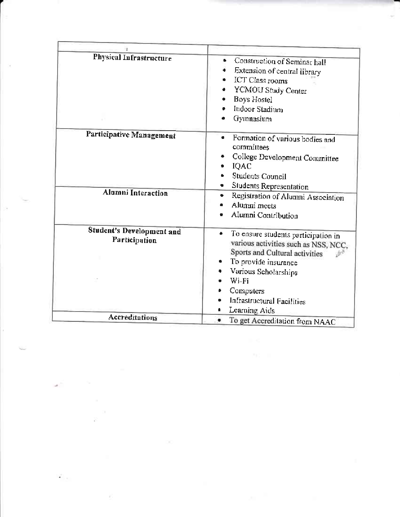| Physical Infrastructure                    | Construction of Seminar hall<br>٠<br>Extension of central library<br>ICT Class rooms<br>YCMOU Study Center<br>Boys Hostel<br>Indoor Stadium<br>Gymnasium                                                                                  |
|--------------------------------------------|-------------------------------------------------------------------------------------------------------------------------------------------------------------------------------------------------------------------------------------------|
| Participative Management                   | Formation of various bodies and<br>committees<br>College Development Committee<br>IQAC<br>Students Council                                                                                                                                |
| <b>Alumni Interaction</b>                  | Students Representation<br>Registration of Alumni Association<br>٠<br>Alumni meets<br>Alumni Contribution                                                                                                                                 |
| Student's Development and<br>Participation | To ensure students participation in<br>various activities such as NSS, NCC,<br>Sports and Cultural activities<br>To provide insurance<br>Various Scholarships<br>Wi-Fi<br>Computers<br><b>Infrastructural Facilities</b><br>Learning Aids |
| Accreditations                             | To get Accreditation from NAAC                                                                                                                                                                                                            |

 $\mathbb{R}^{\mathbb{N}^{\times d}}$ 

 $\mathcal{L}_{\mathcal{C}}$ 

 $\mathcal{L}_{\text{max}}$ 

 $\bar{\nu}$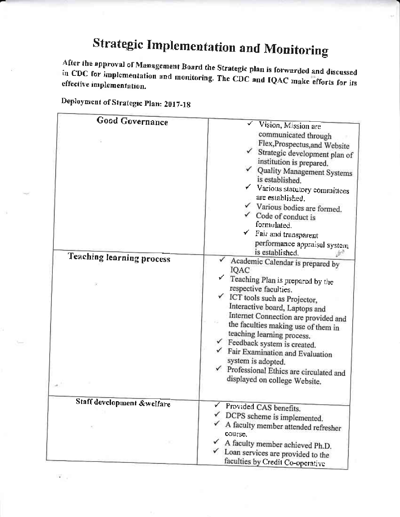# **Strategic Implementation and Monitoring**

After the approval of Management Board the Strategic plan is forwarded and discussed in CDC for implementation and monitoring. The CDC and IQAC make efforts for its effective implementation.

| <b>Good Governance</b><br>Teaching learning process | Vision, Mission are<br>communicated through<br>Flex, Prospectus, and Website<br>$\checkmark$ Strategic development plan of<br>institution is prepared.<br>√ Quality Management Systems<br>is established.<br>$\checkmark$ Various statutory committees<br>are established.<br>Various bodies are formed.<br>$\checkmark$ Code of conduct is<br>formulated.<br>$\checkmark$ Fair and transparent<br>performance appraisal system<br>is established.<br>Academic Calendar is prepared by<br>IQAC<br>Teaching Plan is prepared by the<br>respective faculties.<br>$\checkmark$ ICT tools such as Projector,<br>Interactive board, Laptops and<br>Internet Connection are provided and<br>the faculties making use of them in<br>teaching learning process. |
|-----------------------------------------------------|---------------------------------------------------------------------------------------------------------------------------------------------------------------------------------------------------------------------------------------------------------------------------------------------------------------------------------------------------------------------------------------------------------------------------------------------------------------------------------------------------------------------------------------------------------------------------------------------------------------------------------------------------------------------------------------------------------------------------------------------------------|
|                                                     | $\checkmark$ Feedback system is created.<br>$\checkmark$ Fair Examination and Evaluation<br>system is adopted.<br>$\checkmark$ Professional Ethics are circulated and<br>displayed on college Website.                                                                                                                                                                                                                                                                                                                                                                                                                                                                                                                                                  |
| Staff development &welfare                          | Provided CAS benefits.<br>DCPS scheme is implemented.<br>A faculty member attended refresher<br>course.<br>A faculty member achieved Ph.D.<br>$\checkmark$ Loan services are provided to the<br>faculties by Credit Co-operative                                                                                                                                                                                                                                                                                                                                                                                                                                                                                                                        |

Deployment of Strategic Plan: 2017-18

 $\overline{\bullet}$  .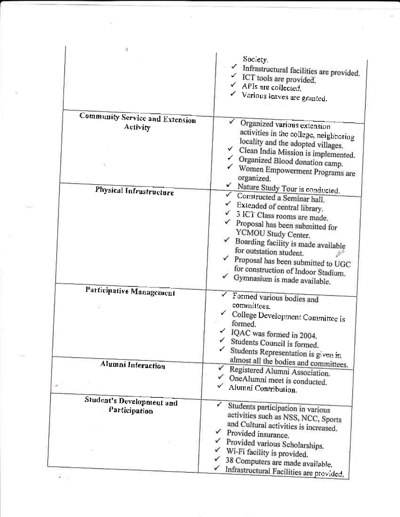|                                            | Society.<br>Infrastructural facilities are provided.<br>✓ ICT tools are provided.<br>$\checkmark$ APIs are collected.<br>Various leaves are granted.                                                                                                                                                                                                                                                                               |
|--------------------------------------------|------------------------------------------------------------------------------------------------------------------------------------------------------------------------------------------------------------------------------------------------------------------------------------------------------------------------------------------------------------------------------------------------------------------------------------|
| <b>Community Service and Extension</b>     |                                                                                                                                                                                                                                                                                                                                                                                                                                    |
| Activity                                   | Organized various extension<br>activities in the college, neighboring<br>locality and the adopted villages.<br>✓<br>Clean India Mission is implemented.<br>← Organized Blood donation camp.<br>Women Empowerment Programs are<br>organized.                                                                                                                                                                                        |
| Physical Infrastructure                    | V Nature Study Tour is conducted.<br>v.<br>Constructed a Seminar hall.<br>Extended of central library.<br>$\checkmark$ 3 ICT Class rooms are made.<br>$\checkmark$ Proposal has been submitted for<br>YCMOU Study Center.<br>$\checkmark$ Boarding facility is made available<br>for outstation student.<br>$\checkmark$ Proposal has been submitted to UGC<br>for construction of Indoor Stadium.<br>Gymnasium is made available. |
| Participative Management                   | Formed various bodies and<br>committees.<br>College Development Committee is<br>formed.<br>$\checkmark$ IQAC was formed in 2004.<br>Students Council is formed.<br>Students Representation is given in                                                                                                                                                                                                                             |
| Alumni Interaction                         | almost all the bodies and committees.<br>Registered Alumni Association.<br>OneAlumni meet is conducted.<br>Alumni Contribution.                                                                                                                                                                                                                                                                                                    |
| Student's Development and<br>Participation | Students participation in various<br>activities such as NSS, NCC, Sports<br>and Cultural activities is increased.<br>Provided insurance.<br>Provided various Scholarships.<br>$\checkmark$ Wi-Fi facility is provided.<br>38 Computers are made available.<br>Infrastructural Facilities are provided.                                                                                                                             |

 $\bar{\tau}$